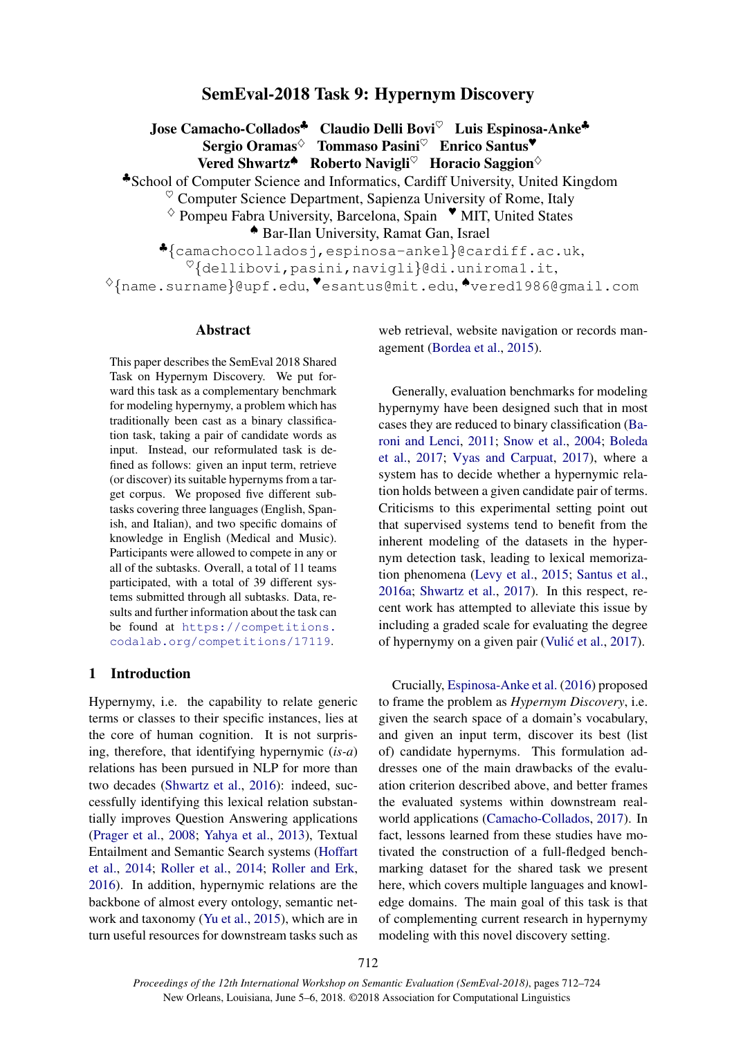# SemEval-2018 Task 9: Hypernym Discovery

Jose Camacho-Collados<sup>↓</sup> Claudio Delli Bovi<sup>♡</sup> Luis Espinosa-Anke<sup>↓</sup> Sergio Oramas<sup>☆</sup> Tommaso Pasini<sup>♡</sup> Enrico Santus<sup>♥</sup> Vered Shwartz<sup>▲</sup> Roberto Navigli<sup>♡</sup> Horacio Saggion<sup>◇</sup>

♣School of Computer Science and Informatics, Cardiff University, United Kingdom

 $\degree$  Computer Science Department, Sapienza University of Rome, Italy

 $\diamond$  Pompeu Fabra University, Barcelona, Spain  $\blacktriangledown$  MIT, United States

♠ Bar-Ilan University, Ramat Gan, Israel

♣{camachocolladosj,espinosa-ankel}@cardiff.ac.uk,

 ${}^{\heartsuit}\! \{\text{dellibovi},\text{pasini},\text{navigli}\}$ @di.uniroma1.it,

 $\Diamond \{\texttt{name.surname}\}$ @upf.edu,  $\bullet$ esantus@mit.edu, $\bullet$ vered1986@gmail.com

## Abstract

This paper describes the SemEval 2018 Shared Task on Hypernym Discovery. We put forward this task as a complementary benchmark for modeling hypernymy, a problem which has traditionally been cast as a binary classification task, taking a pair of candidate words as input. Instead, our reformulated task is defined as follows: given an input term, retrieve (or discover) its suitable hypernyms from a target corpus. We proposed five different subtasks covering three languages (English, Spanish, and Italian), and two specific domains of knowledge in English (Medical and Music). Participants were allowed to compete in any or all of the subtasks. Overall, a total of 11 teams participated, with a total of 39 different systems submitted through all subtasks. Data, results and further information about the task can be found at https://competitions. codalab.org/competitions/17119.

## 1 Introduction

Hypernymy, i.e. the capability to relate generic terms or classes to their specific instances, lies at the core of human cognition. It is not surprising, therefore, that identifying hypernymic (*is-a*) relations has been pursued in NLP for more than two decades (Shwartz et al., 2016): indeed, successfully identifying this lexical relation substantially improves Question Answering applications (Prager et al., 2008; Yahya et al., 2013), Textual Entailment and Semantic Search systems (Hoffart et al., 2014; Roller et al., 2014; Roller and Erk, 2016). In addition, hypernymic relations are the backbone of almost every ontology, semantic network and taxonomy (Yu et al., 2015), which are in turn useful resources for downstream tasks such as web retrieval, website navigation or records management (Bordea et al., 2015).

Generally, evaluation benchmarks for modeling hypernymy have been designed such that in most cases they are reduced to binary classification (Baroni and Lenci, 2011; Snow et al., 2004; Boleda et al., 2017; Vyas and Carpuat, 2017), where a system has to decide whether a hypernymic relation holds between a given candidate pair of terms. Criticisms to this experimental setting point out that supervised systems tend to benefit from the inherent modeling of the datasets in the hypernym detection task, leading to lexical memorization phenomena (Levy et al., 2015; Santus et al., 2016a; Shwartz et al., 2017). In this respect, recent work has attempted to alleviate this issue by including a graded scale for evaluating the degree of hypernymy on a given pair (Vulić et al., 2017).

Crucially, Espinosa-Anke et al. (2016) proposed to frame the problem as *Hypernym Discovery*, i.e. given the search space of a domain's vocabulary, and given an input term, discover its best (list of) candidate hypernyms. This formulation addresses one of the main drawbacks of the evaluation criterion described above, and better frames the evaluated systems within downstream realworld applications (Camacho-Collados, 2017). In fact, lessons learned from these studies have motivated the construction of a full-fledged benchmarking dataset for the shared task we present here, which covers multiple languages and knowledge domains. The main goal of this task is that of complementing current research in hypernymy modeling with this novel discovery setting.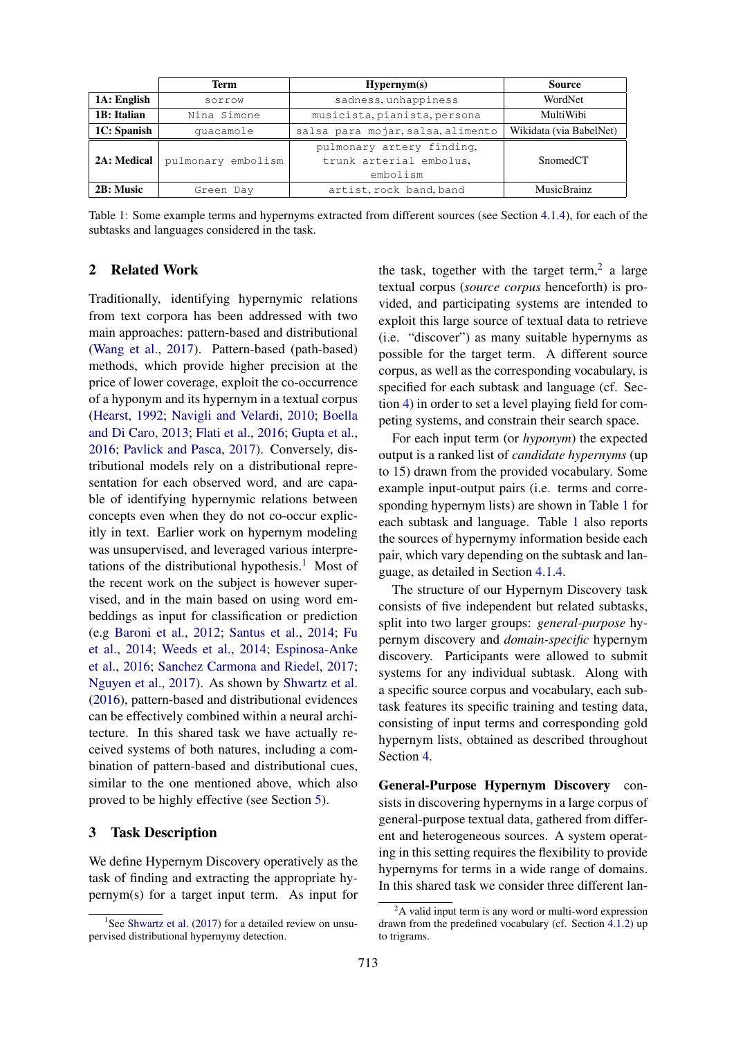|             | Term               | Hypernym(s)                         | <b>Source</b>           |
|-------------|--------------------|-------------------------------------|-------------------------|
| 1A: English | sorrow             | sadness, unhappiness                | WordNet                 |
| 1B: Italian | Nina Simone        | musicista, pianista, persona        | MultiWibi               |
| 1C: Spanish | quacamole          | salsa para mojar, salsa, alimento   | Wikidata (via BabelNet) |
|             |                    | pulmonary artery finding,           |                         |
| 2A: Medical | pulmonary embolism | trunk arterial embolus.<br>embolism | SnomedCT                |
|             |                    |                                     |                         |
| 2B: Music   | Green Day          | artist, rock band, band             | <b>MusicBrainz</b>      |

Table 1: Some example terms and hypernyms extracted from different sources (see Section 4.1.4), for each of the subtasks and languages considered in the task.

## 2 Related Work

Traditionally, identifying hypernymic relations from text corpora has been addressed with two main approaches: pattern-based and distributional (Wang et al., 2017). Pattern-based (path-based) methods, which provide higher precision at the price of lower coverage, exploit the co-occurrence of a hyponym and its hypernym in a textual corpus (Hearst, 1992; Navigli and Velardi, 2010; Boella and Di Caro, 2013; Flati et al., 2016; Gupta et al., 2016; Pavlick and Pasca, 2017). Conversely, distributional models rely on a distributional representation for each observed word, and are capable of identifying hypernymic relations between concepts even when they do not co-occur explicitly in text. Earlier work on hypernym modeling was unsupervised, and leveraged various interpretations of the distributional hypothesis.<sup>1</sup> Most of the recent work on the subject is however supervised, and in the main based on using word embeddings as input for classification or prediction (e.g Baroni et al., 2012; Santus et al., 2014; Fu et al., 2014; Weeds et al., 2014; Espinosa-Anke et al., 2016; Sanchez Carmona and Riedel, 2017; Nguyen et al., 2017). As shown by Shwartz et al. (2016), pattern-based and distributional evidences can be effectively combined within a neural architecture. In this shared task we have actually received systems of both natures, including a combination of pattern-based and distributional cues, similar to the one mentioned above, which also proved to be highly effective (see Section 5).

### 3 Task Description

We define Hypernym Discovery operatively as the task of finding and extracting the appropriate hypernym(s) for a target input term. As input for

the task, together with the target term,<sup>2</sup> a large textual corpus (*source corpus* henceforth) is provided, and participating systems are intended to exploit this large source of textual data to retrieve (i.e. "discover") as many suitable hypernyms as possible for the target term. A different source corpus, as well as the corresponding vocabulary, is specified for each subtask and language (cf. Section 4) in order to set a level playing field for competing systems, and constrain their search space.

For each input term (or *hyponym*) the expected output is a ranked list of *candidate hypernyms* (up to 15) drawn from the provided vocabulary. Some example input-output pairs (i.e. terms and corresponding hypernym lists) are shown in Table 1 for each subtask and language. Table 1 also reports the sources of hypernymy information beside each pair, which vary depending on the subtask and language, as detailed in Section 4.1.4.

The structure of our Hypernym Discovery task consists of five independent but related subtasks, split into two larger groups: *general-purpose* hypernym discovery and *domain-specific* hypernym discovery. Participants were allowed to submit systems for any individual subtask. Along with a specific source corpus and vocabulary, each subtask features its specific training and testing data, consisting of input terms and corresponding gold hypernym lists, obtained as described throughout Section 4.

General-Purpose Hypernym Discovery consists in discovering hypernyms in a large corpus of general-purpose textual data, gathered from different and heterogeneous sources. A system operating in this setting requires the flexibility to provide hypernyms for terms in a wide range of domains. In this shared task we consider three different lan-

<sup>&</sup>lt;sup>1</sup>See Shwartz et al. (2017) for a detailed review on unsupervised distributional hypernymy detection.

 ${}^{2}$ A valid input term is any word or multi-word expression drawn from the predefined vocabulary (cf. Section 4.1.2) up to trigrams.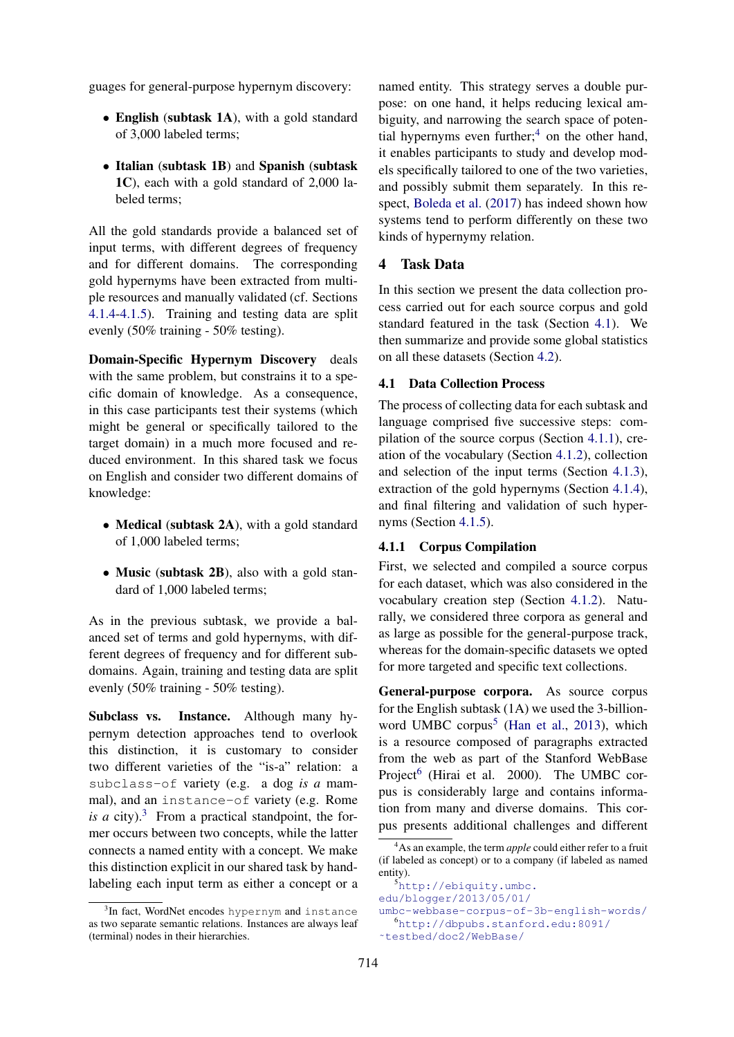guages for general-purpose hypernym discovery:

- English (subtask 1A), with a gold standard of 3,000 labeled terms;
- Italian (subtask 1B) and Spanish (subtask 1C), each with a gold standard of 2,000 labeled terms;

All the gold standards provide a balanced set of input terms, with different degrees of frequency and for different domains. The corresponding gold hypernyms have been extracted from multiple resources and manually validated (cf. Sections 4.1.4-4.1.5). Training and testing data are split evenly (50% training - 50% testing).

Domain-Specific Hypernym Discovery deals with the same problem, but constrains it to a specific domain of knowledge. As a consequence, in this case participants test their systems (which might be general or specifically tailored to the target domain) in a much more focused and reduced environment. In this shared task we focus on English and consider two different domains of knowledge:

- Medical (subtask 2A), with a gold standard of 1,000 labeled terms;
- Music (subtask 2B), also with a gold standard of 1,000 labeled terms;

As in the previous subtask, we provide a balanced set of terms and gold hypernyms, with different degrees of frequency and for different subdomains. Again, training and testing data are split evenly (50% training - 50% testing).

Subclass vs. Instance. Although many hypernym detection approaches tend to overlook this distinction, it is customary to consider two different varieties of the "is-a" relation: a subclass-of variety (e.g. a dog *is a* mammal), and an instance-of variety (e.g. Rome *is a* city).<sup>3</sup> From a practical standpoint, the former occurs between two concepts, while the latter connects a named entity with a concept. We make this distinction explicit in our shared task by handlabeling each input term as either a concept or a

named entity. This strategy serves a double purpose: on one hand, it helps reducing lexical ambiguity, and narrowing the search space of potential hypernyms even further;<sup>4</sup> on the other hand, it enables participants to study and develop models specifically tailored to one of the two varieties, and possibly submit them separately. In this respect, Boleda et al. (2017) has indeed shown how systems tend to perform differently on these two kinds of hypernymy relation.

# 4 Task Data

In this section we present the data collection process carried out for each source corpus and gold standard featured in the task (Section 4.1). We then summarize and provide some global statistics on all these datasets (Section 4.2).

### 4.1 Data Collection Process

The process of collecting data for each subtask and language comprised five successive steps: compilation of the source corpus (Section 4.1.1), creation of the vocabulary (Section 4.1.2), collection and selection of the input terms (Section 4.1.3), extraction of the gold hypernyms (Section 4.1.4), and final filtering and validation of such hypernyms (Section 4.1.5).

## 4.1.1 Corpus Compilation

First, we selected and compiled a source corpus for each dataset, which was also considered in the vocabulary creation step (Section 4.1.2). Naturally, we considered three corpora as general and as large as possible for the general-purpose track, whereas for the domain-specific datasets we opted for more targeted and specific text collections.

General-purpose corpora. As source corpus for the English subtask (1A) we used the 3-billionword UMBC corpus<sup>5</sup> (Han et al., 2013), which is a resource composed of paragraphs extracted from the web as part of the Stanford WebBase Project<sup>6</sup> (Hirai et al. 2000). The UMBC corpus is considerably large and contains information from many and diverse domains. This corpus presents additional challenges and different

<sup>5</sup>http://ebiquity.umbc. edu/blogger/2013/05/01/

```
umbc-webbase-corpus-of-3b-english-words/
  6http://dbpubs.stanford.edu:8091/
˜testbed/doc2/WebBase/
```
<sup>&</sup>lt;sup>3</sup>In fact, WordNet encodes hypernym and instance as two separate semantic relations. Instances are always leaf (terminal) nodes in their hierarchies.

<sup>4</sup>As an example, the term *apple* could either refer to a fruit (if labeled as concept) or to a company (if labeled as named entity).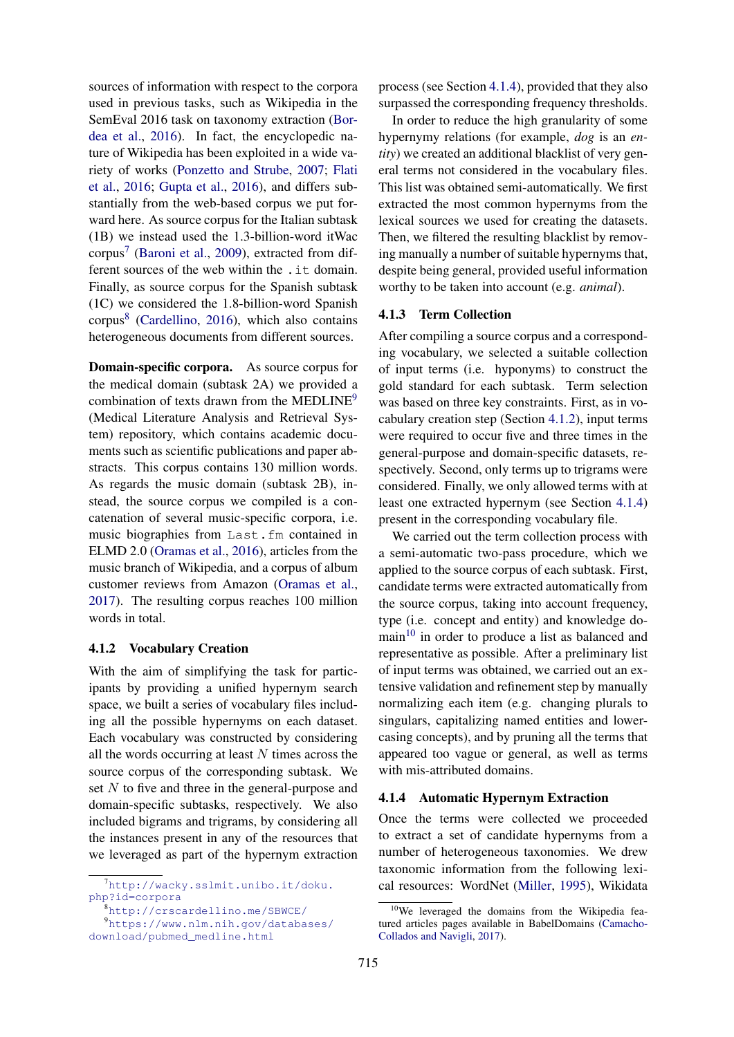sources of information with respect to the corpora used in previous tasks, such as Wikipedia in the SemEval 2016 task on taxonomy extraction (Bordea et al., 2016). In fact, the encyclopedic nature of Wikipedia has been exploited in a wide variety of works (Ponzetto and Strube, 2007; Flati et al., 2016; Gupta et al., 2016), and differs substantially from the web-based corpus we put forward here. As source corpus for the Italian subtask (1B) we instead used the 1.3-billion-word itWac corpus<sup>7</sup> (Baroni et al., 2009), extracted from different sources of the web within the .it domain. Finally, as source corpus for the Spanish subtask (1C) we considered the 1.8-billion-word Spanish corpus<sup>8</sup> (Cardellino, 2016), which also contains heterogeneous documents from different sources.

Domain-specific corpora. As source corpus for the medical domain (subtask 2A) we provided a combination of texts drawn from the MEDLINE<sup>9</sup> (Medical Literature Analysis and Retrieval System) repository, which contains academic documents such as scientific publications and paper abstracts. This corpus contains 130 million words. As regards the music domain (subtask 2B), instead, the source corpus we compiled is a concatenation of several music-specific corpora, i.e. music biographies from Last.fm contained in ELMD 2.0 (Oramas et al., 2016), articles from the music branch of Wikipedia, and a corpus of album customer reviews from Amazon (Oramas et al., 2017). The resulting corpus reaches 100 million words in total.

## 4.1.2 Vocabulary Creation

With the aim of simplifying the task for participants by providing a unified hypernym search space, we built a series of vocabulary files including all the possible hypernyms on each dataset. Each vocabulary was constructed by considering all the words occurring at least  $N$  times across the source corpus of the corresponding subtask. We set N to five and three in the general-purpose and domain-specific subtasks, respectively. We also included bigrams and trigrams, by considering all the instances present in any of the resources that we leveraged as part of the hypernym extraction

<sup>8</sup>http://crscardellino.me/SBWCE/

<sup>9</sup>https://www.nlm.nih.gov/databases/ download/pubmed\_medline.html

process (see Section 4.1.4), provided that they also surpassed the corresponding frequency thresholds.

In order to reduce the high granularity of some hypernymy relations (for example, *dog* is an *entity*) we created an additional blacklist of very general terms not considered in the vocabulary files. This list was obtained semi-automatically. We first extracted the most common hypernyms from the lexical sources we used for creating the datasets. Then, we filtered the resulting blacklist by removing manually a number of suitable hypernyms that, despite being general, provided useful information worthy to be taken into account (e.g. *animal*).

## 4.1.3 Term Collection

After compiling a source corpus and a corresponding vocabulary, we selected a suitable collection of input terms (i.e. hyponyms) to construct the gold standard for each subtask. Term selection was based on three key constraints. First, as in vocabulary creation step (Section 4.1.2), input terms were required to occur five and three times in the general-purpose and domain-specific datasets, respectively. Second, only terms up to trigrams were considered. Finally, we only allowed terms with at least one extracted hypernym (see Section 4.1.4) present in the corresponding vocabulary file.

We carried out the term collection process with a semi-automatic two-pass procedure, which we applied to the source corpus of each subtask. First, candidate terms were extracted automatically from the source corpus, taking into account frequency, type (i.e. concept and entity) and knowledge do- $\text{main}^{10}$  in order to produce a list as balanced and representative as possible. After a preliminary list of input terms was obtained, we carried out an extensive validation and refinement step by manually normalizing each item (e.g. changing plurals to singulars, capitalizing named entities and lowercasing concepts), and by pruning all the terms that appeared too vague or general, as well as terms with mis-attributed domains.

#### 4.1.4 Automatic Hypernym Extraction

Once the terms were collected we proceeded to extract a set of candidate hypernyms from a number of heterogeneous taxonomies. We drew taxonomic information from the following lexical resources: WordNet (Miller, 1995), Wikidata

 $7$ http://wacky.sslmit.unibo.it/doku. php?id=corpora

<sup>&</sup>lt;sup>10</sup>We leveraged the domains from the Wikipedia featured articles pages available in BabelDomains (Camacho-Collados and Navigli, 2017).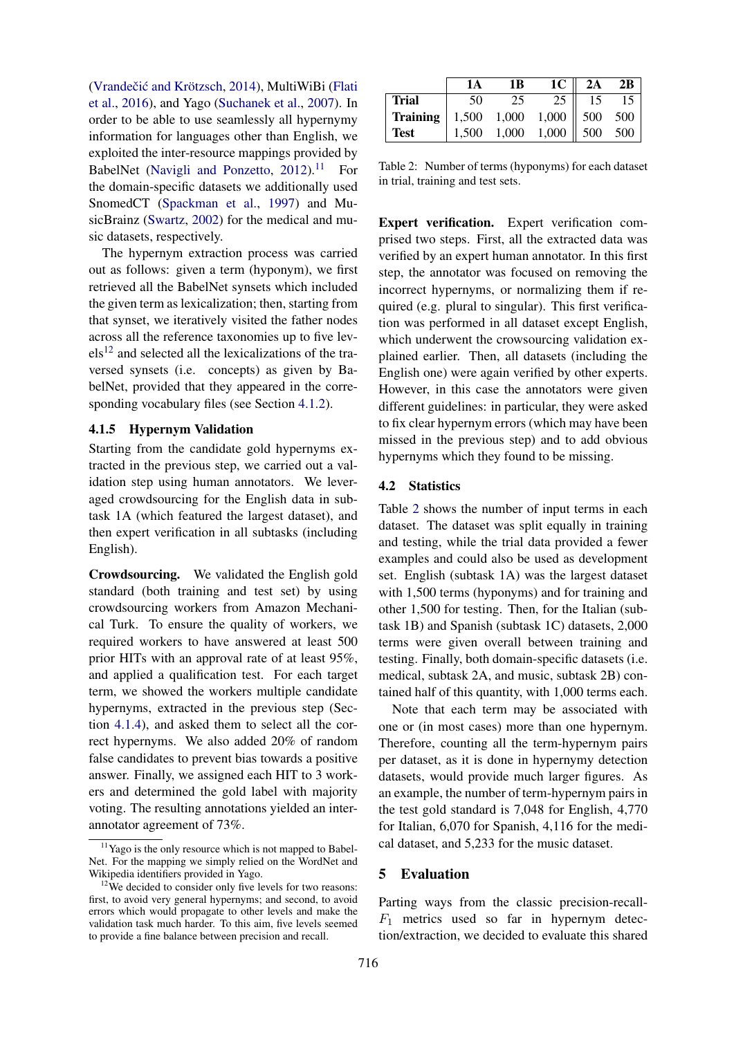(Vrandečić and Krötzsch, 2014), MultiWiBi (Flati et al., 2016), and Yago (Suchanek et al., 2007). In order to be able to use seamlessly all hypernymy information for languages other than English, we exploited the inter-resource mappings provided by BabelNet (Navigli and Ponzetto,  $2012$ ).<sup>11</sup> For the domain-specific datasets we additionally used SnomedCT (Spackman et al., 1997) and MusicBrainz (Swartz, 2002) for the medical and music datasets, respectively.

The hypernym extraction process was carried out as follows: given a term (hyponym), we first retrieved all the BabelNet synsets which included the given term as lexicalization; then, starting from that synset, we iteratively visited the father nodes across all the reference taxonomies up to five lev $els<sup>12</sup>$  and selected all the lexicalizations of the traversed synsets (i.e. concepts) as given by BabelNet, provided that they appeared in the corresponding vocabulary files (see Section 4.1.2).

## 4.1.5 Hypernym Validation

Starting from the candidate gold hypernyms extracted in the previous step, we carried out a validation step using human annotators. We leveraged crowdsourcing for the English data in subtask 1A (which featured the largest dataset), and then expert verification in all subtasks (including English).

Crowdsourcing. We validated the English gold standard (both training and test set) by using crowdsourcing workers from Amazon Mechanical Turk. To ensure the quality of workers, we required workers to have answered at least 500 prior HITs with an approval rate of at least 95%, and applied a qualification test. For each target term, we showed the workers multiple candidate hypernyms, extracted in the previous step (Section 4.1.4), and asked them to select all the correct hypernyms. We also added 20% of random false candidates to prevent bias towards a positive answer. Finally, we assigned each HIT to 3 workers and determined the gold label with majority voting. The resulting annotations yielded an interannotator agreement of 73%.

|                                                | 1А    | 1 B | $1C \parallel$                              | 2A | 2B |
|------------------------------------------------|-------|-----|---------------------------------------------|----|----|
| <b>Trial</b>                                   | 50    | 25  | 25                                          | 15 |    |
| <b>Training</b>   1,500 1,000 1,000    500 500 |       |     |                                             |    |    |
| <b>Test</b>                                    | 1,500 |     | $1,000 \quad 1,000 \parallel 500 \quad 500$ |    |    |

Table 2: Number of terms (hyponyms) for each dataset in trial, training and test sets.

Expert verification. Expert verification comprised two steps. First, all the extracted data was verified by an expert human annotator. In this first step, the annotator was focused on removing the incorrect hypernyms, or normalizing them if required (e.g. plural to singular). This first verification was performed in all dataset except English, which underwent the crowsourcing validation explained earlier. Then, all datasets (including the English one) were again verified by other experts. However, in this case the annotators were given different guidelines: in particular, they were asked to fix clear hypernym errors (which may have been missed in the previous step) and to add obvious hypernyms which they found to be missing.

### 4.2 Statistics

Table 2 shows the number of input terms in each dataset. The dataset was split equally in training and testing, while the trial data provided a fewer examples and could also be used as development set. English (subtask 1A) was the largest dataset with 1,500 terms (hyponyms) and for training and other 1,500 for testing. Then, for the Italian (subtask 1B) and Spanish (subtask 1C) datasets, 2,000 terms were given overall between training and testing. Finally, both domain-specific datasets (i.e. medical, subtask 2A, and music, subtask 2B) contained half of this quantity, with 1,000 terms each.

Note that each term may be associated with one or (in most cases) more than one hypernym. Therefore, counting all the term-hypernym pairs per dataset, as it is done in hypernymy detection datasets, would provide much larger figures. As an example, the number of term-hypernym pairs in the test gold standard is 7,048 for English, 4,770 for Italian, 6,070 for Spanish, 4,116 for the medical dataset, and 5,233 for the music dataset.

#### 5 Evaluation

Parting ways from the classic precision-recall- $F_1$  metrics used so far in hypernym detection/extraction, we decided to evaluate this shared

<sup>&</sup>lt;sup>11</sup>Yago is the only resource which is not mapped to Babel-Net. For the mapping we simply relied on the WordNet and Wikipedia identifiers provided in Yago.

 $12\text{We decided to consider only five levels for two reasons:}$ first, to avoid very general hypernyms; and second, to avoid errors which would propagate to other levels and make the validation task much harder. To this aim, five levels seemed to provide a fine balance between precision and recall.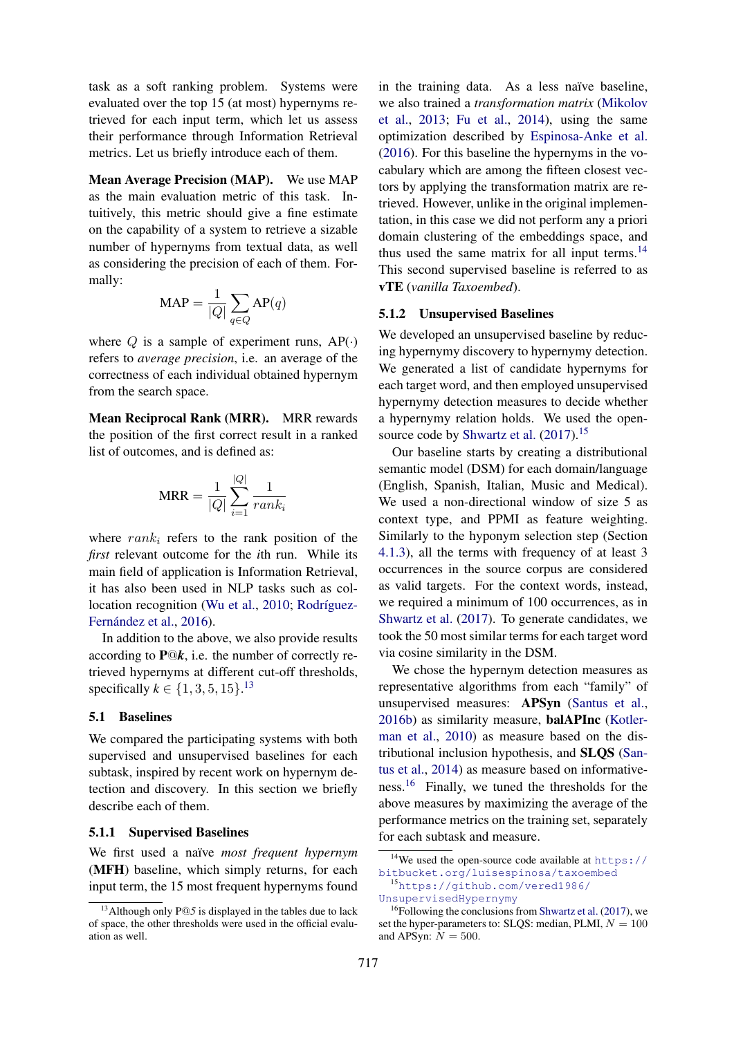task as a soft ranking problem. Systems were evaluated over the top 15 (at most) hypernyms retrieved for each input term, which let us assess their performance through Information Retrieval metrics. Let us briefly introduce each of them.

Mean Average Precision (MAP). We use MAP as the main evaluation metric of this task. Intuitively, this metric should give a fine estimate on the capability of a system to retrieve a sizable number of hypernyms from textual data, as well as considering the precision of each of them. Formally:

$$
\text{MAP} = \frac{1}{|Q|} \sum_{q \in Q} \text{AP}(q)
$$

where  $Q$  is a sample of experiment runs,  $AP(\cdot)$ refers to *average precision*, i.e. an average of the correctness of each individual obtained hypernym from the search space.

Mean Reciprocal Rank (MRR). MRR rewards the position of the first correct result in a ranked list of outcomes, and is defined as:

$$
MRR = \frac{1}{|Q|} \sum_{i=1}^{|Q|} \frac{1}{rank_i}
$$

where  $rank_i$  refers to the rank position of the *first* relevant outcome for the *i*th run. While its main field of application is Information Retrieval, it has also been used in NLP tasks such as collocation recognition (Wu et al., 2010; Rodríguez-Fernández et al., 2016).

In addition to the above, we also provide results according to  $\mathbf{P} \mathbb{Q} \mathbf{k}$ , i.e. the number of correctly retrieved hypernyms at different cut-off thresholds, specifically  $k \in \{1, 3, 5, 15\}$ .<sup>13</sup>

## 5.1 Baselines

We compared the participating systems with both supervised and unsupervised baselines for each subtask, inspired by recent work on hypernym detection and discovery. In this section we briefly describe each of them.

#### 5.1.1 Supervised Baselines

We first used a naïve *most frequent hypernym* (MFH) baseline, which simply returns, for each input term, the 15 most frequent hypernyms found

in the training data. As a less naïve baseline, we also trained a *transformation matrix* (Mikolov et al., 2013; Fu et al., 2014), using the same optimization described by Espinosa-Anke et al. (2016). For this baseline the hypernyms in the vocabulary which are among the fifteen closest vectors by applying the transformation matrix are retrieved. However, unlike in the original implementation, in this case we did not perform any a priori domain clustering of the embeddings space, and thus used the same matrix for all input terms.<sup>14</sup> This second supervised baseline is referred to as vTE (*vanilla Taxoembed*).

#### 5.1.2 Unsupervised Baselines

We developed an unsupervised baseline by reducing hypernymy discovery to hypernymy detection. We generated a list of candidate hypernyms for each target word, and then employed unsupervised hypernymy detection measures to decide whether a hypernymy relation holds. We used the opensource code by Shwartz et al. (2017).<sup>15</sup>

Our baseline starts by creating a distributional semantic model (DSM) for each domain/language (English, Spanish, Italian, Music and Medical). We used a non-directional window of size 5 as context type, and PPMI as feature weighting. Similarly to the hyponym selection step (Section 4.1.3), all the terms with frequency of at least 3 occurrences in the source corpus are considered as valid targets. For the context words, instead, we required a minimum of 100 occurrences, as in Shwartz et al. (2017). To generate candidates, we took the 50 most similar terms for each target word via cosine similarity in the DSM.

We chose the hypernym detection measures as representative algorithms from each "family" of unsupervised measures: APSyn (Santus et al., 2016b) as similarity measure, balAPInc (Kotlerman et al., 2010) as measure based on the distributional inclusion hypothesis, and SLQS (Santus et al., 2014) as measure based on informativeness.<sup>16</sup> Finally, we tuned the thresholds for the above measures by maximizing the average of the performance metrics on the training set, separately for each subtask and measure.

<sup>&</sup>lt;sup>13</sup>Although only P@5 is displayed in the tables due to lack of space, the other thresholds were used in the official evaluation as well.

<sup>&</sup>lt;sup>14</sup>We used the open-source code available at https:// bitbucket.org/luisespinosa/taxoembed

<sup>15</sup>https://github.com/vered1986/ UnsupervisedHypernymy

 $16$ Following the conclusions from Shwartz et al. (2017), we set the hyper-parameters to: SLQS: median, PLMI,  $N = 100$ and APSyn:  $N = 500$ .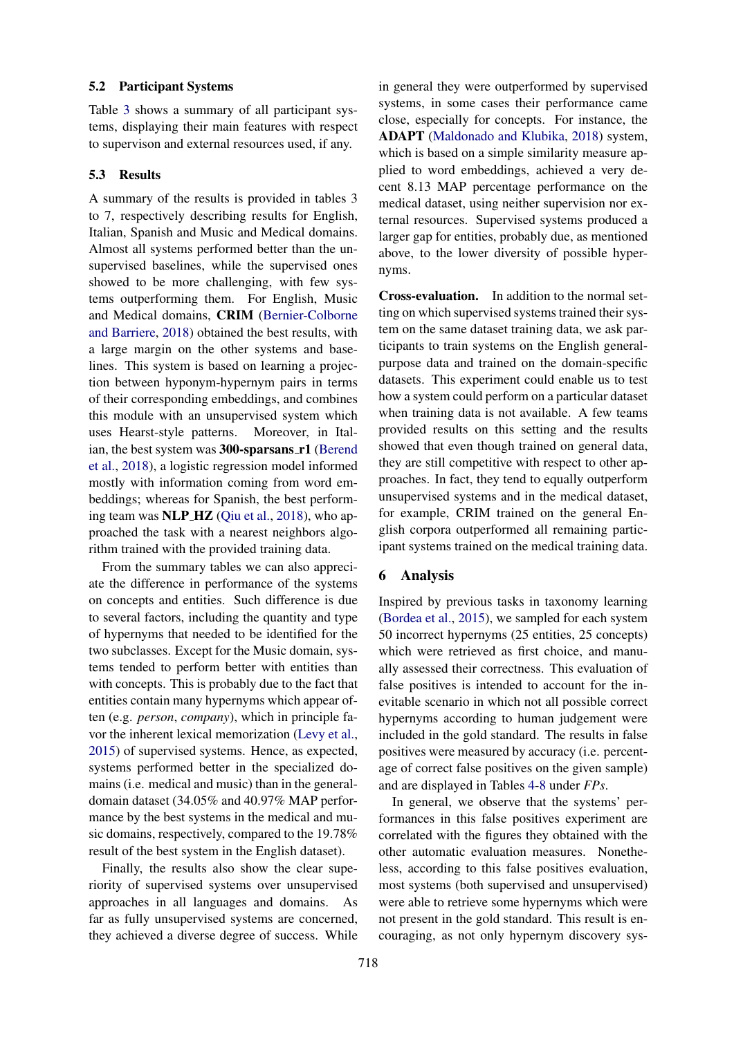## 5.2 Participant Systems

Table 3 shows a summary of all participant systems, displaying their main features with respect to supervison and external resources used, if any.

### 5.3 Results

A summary of the results is provided in tables 3 to 7, respectively describing results for English, Italian, Spanish and Music and Medical domains. Almost all systems performed better than the unsupervised baselines, while the supervised ones showed to be more challenging, with few systems outperforming them. For English, Music and Medical domains, CRIM (Bernier-Colborne and Barriere, 2018) obtained the best results, with a large margin on the other systems and baselines. This system is based on learning a projection between hyponym-hypernym pairs in terms of their corresponding embeddings, and combines this module with an unsupervised system which uses Hearst-style patterns. Moreover, in Italian, the best system was 300-sparsans r1 (Berend et al., 2018), a logistic regression model informed mostly with information coming from word embeddings; whereas for Spanish, the best performing team was NLP HZ (Qiu et al., 2018), who approached the task with a nearest neighbors algorithm trained with the provided training data.

From the summary tables we can also appreciate the difference in performance of the systems on concepts and entities. Such difference is due to several factors, including the quantity and type of hypernyms that needed to be identified for the two subclasses. Except for the Music domain, systems tended to perform better with entities than with concepts. This is probably due to the fact that entities contain many hypernyms which appear often (e.g. *person*, *company*), which in principle favor the inherent lexical memorization (Levy et al., 2015) of supervised systems. Hence, as expected, systems performed better in the specialized domains (i.e. medical and music) than in the generaldomain dataset (34.05% and 40.97% MAP performance by the best systems in the medical and music domains, respectively, compared to the 19.78% result of the best system in the English dataset).

Finally, the results also show the clear superiority of supervised systems over unsupervised approaches in all languages and domains. As far as fully unsupervised systems are concerned, they achieved a diverse degree of success. While

in general they were outperformed by supervised systems, in some cases their performance came close, especially for concepts. For instance, the ADAPT (Maldonado and Klubika, 2018) system, which is based on a simple similarity measure applied to word embeddings, achieved a very decent 8.13 MAP percentage performance on the medical dataset, using neither supervision nor external resources. Supervised systems produced a larger gap for entities, probably due, as mentioned above, to the lower diversity of possible hypernyms.

Cross-evaluation. In addition to the normal setting on which supervised systems trained their system on the same dataset training data, we ask participants to train systems on the English generalpurpose data and trained on the domain-specific datasets. This experiment could enable us to test how a system could perform on a particular dataset when training data is not available. A few teams provided results on this setting and the results showed that even though trained on general data, they are still competitive with respect to other approaches. In fact, they tend to equally outperform unsupervised systems and in the medical dataset, for example, CRIM trained on the general English corpora outperformed all remaining participant systems trained on the medical training data.

## 6 Analysis

Inspired by previous tasks in taxonomy learning (Bordea et al., 2015), we sampled for each system 50 incorrect hypernyms (25 entities, 25 concepts) which were retrieved as first choice, and manually assessed their correctness. This evaluation of false positives is intended to account for the inevitable scenario in which not all possible correct hypernyms according to human judgement were included in the gold standard. The results in false positives were measured by accuracy (i.e. percentage of correct false positives on the given sample) and are displayed in Tables 4-8 under *FPs*.

In general, we observe that the systems' performances in this false positives experiment are correlated with the figures they obtained with the other automatic evaluation measures. Nonetheless, according to this false positives evaluation, most systems (both supervised and unsupervised) were able to retrieve some hypernyms which were not present in the gold standard. This result is encouraging, as not only hypernym discovery sys-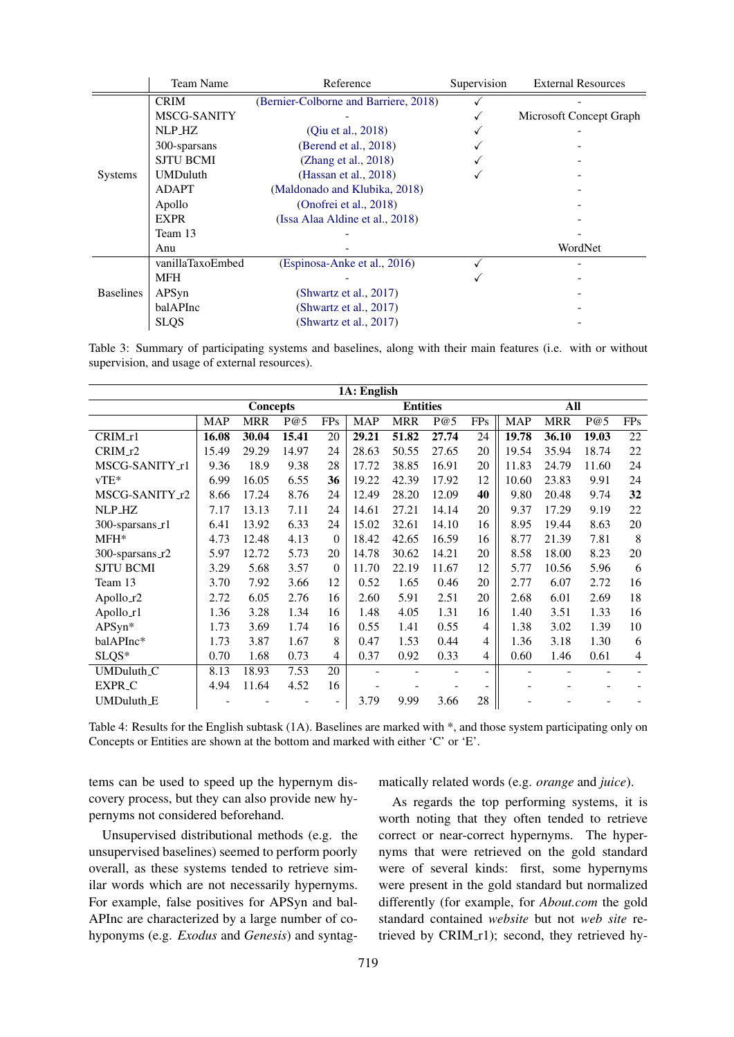|                  | Team Name        | Reference                             | Supervision | <b>External Resources</b> |
|------------------|------------------|---------------------------------------|-------------|---------------------------|
|                  | <b>CRIM</b>      | (Bernier-Colborne and Barriere, 2018) |             |                           |
|                  | MSCG-SANITY      |                                       |             | Microsoft Concept Graph   |
|                  | NLP_HZ           | (Qiu et al., 2018)                    |             |                           |
|                  | 300-sparsans     | (Berend et al., 2018)                 |             |                           |
|                  | <b>SJTU BCMI</b> | (Zhang et al., 2018)                  |             |                           |
| <b>Systems</b>   | <b>UMDuluth</b>  | (Hassan et al., $2018$ )              |             |                           |
|                  | ADAPT            | (Maldonado and Klubika, 2018)         |             |                           |
|                  | Apollo           | (Onofrei et al., 2018)                |             |                           |
|                  | <b>EXPR</b>      | (Issa Alaa Aldine et al., 2018)       |             |                           |
|                  | Team 13          |                                       |             |                           |
|                  | Anu              |                                       |             | WordNet                   |
|                  | vanillaTaxoEmbed | (Espinosa-Anke et al., 2016)          |             |                           |
|                  | <b>MFH</b>       |                                       |             |                           |
| <b>Baselines</b> | APSyn            | (Shwartz et al., 2017)                |             |                           |
|                  | balAPInc         | (Shwartz et al., $2017$ )             |             |                           |
|                  | <b>SLQS</b>      | (Shwartz et al., 2017)                |             |                           |

Table 3: Summary of participating systems and baselines, along with their main features (i.e. with or without supervision, and usage of external resources).

| 1A: English            |            |                 |       |          |                 |            |       |                |            |            |       |                |
|------------------------|------------|-----------------|-------|----------|-----------------|------------|-------|----------------|------------|------------|-------|----------------|
|                        |            | <b>Concepts</b> |       |          | <b>Entities</b> |            |       |                | All        |            |       |                |
|                        | <b>MAP</b> | <b>MRR</b>      | P@5   | FPs      | <b>MAP</b>      | <b>MRR</b> | P@5   | <b>FPs</b>     | <b>MAP</b> | <b>MRR</b> | P@5   | FPs            |
| CRIM_r1                | 16.08      | 30.04           | 15.41 | 20       | 29.21           | 51.82      | 27.74 | 24             | 19.78      | 36.10      | 19.03 | 22             |
| $CRIM_12$              | 15.49      | 29.29           | 14.97 | 24       | 28.63           | 50.55      | 27.65 | 20             | 19.54      | 35.94      | 18.74 | 22             |
| MSCG-SANITY_r1         | 9.36       | 18.9            | 9.38  | 28       | 17.72           | 38.85      | 16.91 | 20             | 11.83      | 24.79      | 11.60 | 24             |
| $vTE*$                 | 6.99       | 16.05           | 6.55  | 36       | 19.22           | 42.39      | 17.92 | 12             | 10.60      | 23.83      | 9.91  | 24             |
| MSCG-SANITY_r2         | 8.66       | 17.24           | 8.76  | 24       | 12.49           | 28.20      | 12.09 | 40             | 9.80       | 20.48      | 9.74  | 32             |
| NLP_HZ                 | 7.17       | 13.13           | 7.11  | 24       | 14.61           | 27.21      | 14.14 | 20             | 9.37       | 17.29      | 9.19  | 22             |
| 300-sparsans_r1        | 6.41       | 13.92           | 6.33  | 24       | 15.02           | 32.61      | 14.10 | 16             | 8.95       | 19.44      | 8.63  | 20             |
| MFH*                   | 4.73       | 12.48           | 4.13  | $\Omega$ | 18.42           | 42.65      | 16.59 | 16             | 8.77       | 21.39      | 7.81  | 8              |
| 300-sparsans_r2        | 5.97       | 12.72           | 5.73  | 20       | 14.78           | 30.62      | 14.21 | 20             | 8.58       | 18.00      | 8.23  | 20             |
| <b>SJTU BCMI</b>       | 3.29       | 5.68            | 3.57  | $\theta$ | 11.70           | 22.19      | 11.67 | 12             | 5.77       | 10.56      | 5.96  | 6              |
| Team 13                | 3.70       | 7.92            | 3.66  | 12       | 0.52            | 1.65       | 0.46  | 20             | 2.77       | 6.07       | 2.72  | 16             |
| Apollo_r2              | 2.72       | 6.05            | 2.76  | 16       | 2.60            | 5.91       | 2.51  | 20             | 2.68       | 6.01       | 2.69  | 18             |
| Apollo_r1              | 1.36       | 3.28            | 1.34  | 16       | 1.48            | 4.05       | 1.31  | 16             | 1.40       | 3.51       | 1.33  | 16             |
| APSyn*                 | 1.73       | 3.69            | 1.74  | 16       | 0.55            | 1.41       | 0.55  | 4              | 1.38       | 3.02       | 1.39  | 10             |
| balAPInc*              | 1.73       | 3.87            | 1.67  | 8        | 0.47            | 1.53       | 0.44  | 4              | 1.36       | 3.18       | 1.30  | 6              |
| SLQS*                  | 0.70       | 1.68            | 0.73  | 4        | 0.37            | 0.92       | 0.33  | 4              | 0.60       | 1.46       | 0.61  | $\overline{4}$ |
| UMDuluth <sub>-C</sub> | 8.13       | 18.93           | 7.53  | 20       |                 |            |       | $\blacksquare$ |            |            |       |                |
| EXPR <sub>_C</sub>     | 4.94       | 11.64           | 4.52  | 16       |                 |            |       |                |            |            |       |                |
| UMDuluth_E             |            |                 |       | ۰        | 3.79            | 9.99       | 3.66  | 28             |            |            |       |                |

Table 4: Results for the English subtask (1A). Baselines are marked with \*, and those system participating only on Concepts or Entities are shown at the bottom and marked with either 'C' or 'E'.

tems can be used to speed up the hypernym discovery process, but they can also provide new hypernyms not considered beforehand.

Unsupervised distributional methods (e.g. the unsupervised baselines) seemed to perform poorly overall, as these systems tended to retrieve similar words which are not necessarily hypernyms. For example, false positives for APSyn and bal-APInc are characterized by a large number of cohyponyms (e.g. *Exodus* and *Genesis*) and syntagmatically related words (e.g. *orange* and *juice*).

As regards the top performing systems, it is worth noting that they often tended to retrieve correct or near-correct hypernyms. The hypernyms that were retrieved on the gold standard were of several kinds: first, some hypernyms were present in the gold standard but normalized differently (for example, for *About.com* the gold standard contained *website* but not *web site* retrieved by CRIM\_r1); second, they retrieved hy-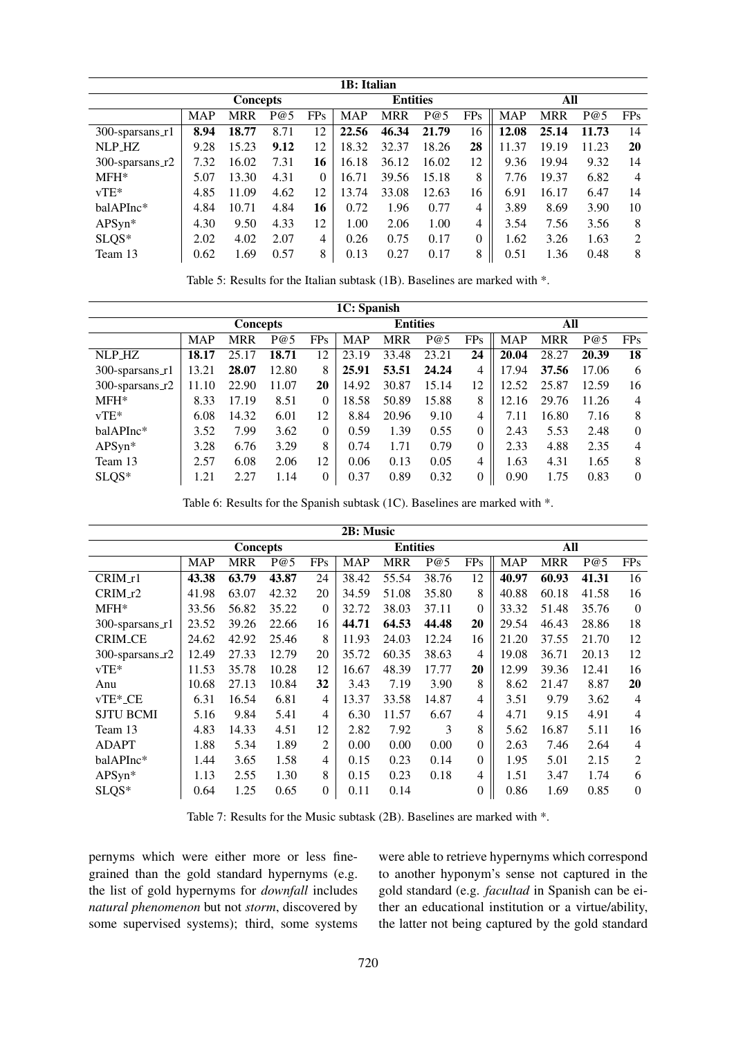| 1B: Italian                |            |                 |      |          |            |                 |       |              |            |            |       |            |  |
|----------------------------|------------|-----------------|------|----------|------------|-----------------|-------|--------------|------------|------------|-------|------------|--|
|                            |            | <b>Concepts</b> |      |          |            | <b>Entities</b> |       |              |            | All        |       |            |  |
|                            | <b>MAP</b> | <b>MRR</b>      | P@5  | FPs      | <b>MAP</b> | <b>MRR</b>      | P@5   | <b>FPs</b>   | <b>MAP</b> | <b>MRR</b> | P@5   | <b>FPs</b> |  |
| $300$ -sparsans_r1         | 8.94       | 18.77           | 8.71 | 12       | 22.56      | 46.34           | 21.79 | 16           | 12.08      | 25.14      | 11.73 | 14         |  |
| NLP_HZ                     | 9.28       | 15.23           | 9.12 | 12       | 18.32      | 32.37           | 18.26 | 28           | 11.37      | 19.19      | 11.23 | 20         |  |
| 300-sparsans $\text{\_r2}$ | 7.32       | 16.02           | 7.31 | 16       | 16.18      | 36.12           | 16.02 | 12           | 9.36       | 19.94      | 9.32  | 14         |  |
| $MFH*$                     | 5.07       | 13.30           | 4.31 | $\Omega$ | 16.71      | 39.56           | 15.18 | 8            | 7.76       | 19.37      | 6.82  | 4          |  |
| $vTE*$                     | 4.85       | 11.09           | 4.62 | 12       | 13.74      | 33.08           | 12.63 | 16           | 6.91       | 16.17      | 6.47  | 14         |  |
| balAPInc*                  | 4.84       | 10.71           | 4.84 | 16       | 0.72       | 1.96            | 0.77  | 4            | 3.89       | 8.69       | 3.90  | 10         |  |
| APSyn*                     | 4.30       | 9.50            | 4.33 | 12       | 1.00       | 2.06            | 1.00  | 4            | 3.54       | 7.56       | 3.56  | 8          |  |
| $SLQS*$                    | 2.02       | 4.02            | 2.07 | 4        | 0.26       | 0.75            | 0.17  | $\mathbf{0}$ | 1.62       | 3.26       | 1.63  | 2          |  |
| Team 13                    | 0.62       | 1.69            | 0.57 | 8        | 0.13       | 0.27            | 0.17  | 8            | 0.51       | 1.36       | 0.48  | 8          |  |

Table 5: Results for the Italian subtask (1B). Baselines are marked with \*.

| 1C: Spanish          |            |                 |       |          |                 |       |       |                |            |            |       |            |  |
|----------------------|------------|-----------------|-------|----------|-----------------|-------|-------|----------------|------------|------------|-------|------------|--|
|                      |            | <b>Concepts</b> |       |          | <b>Entities</b> |       |       |                | All        |            |       |            |  |
|                      | <b>MAP</b> | <b>MRR</b>      | P@5   | FPs      | <b>MAP</b>      | MRR   | P@5   | FPs            | <b>MAP</b> | <b>MRR</b> | P@5   | <b>FPs</b> |  |
| NLP_HZ               | 18.17      | 25.17           | 18.71 | 12       | 23.19           | 33.48 | 23.21 | 24             | 20.04      | 28.27      | 20.39 | 18         |  |
| $300$ -sparsans_r1   | 13.21      | 28.07           | 12.80 | 8        | 25.91           | 53.51 | 24.24 | 4              | 17.94      | 37.56      | 17.06 | 6          |  |
| $300$ -sparsans $r2$ | 11.10      | 22.90           | 11.07 | 20       | 14.92           | 30.87 | 15.14 | 12             | 12.52      | 25.87      | 12.59 | 16         |  |
| $MFH*$               | 8.33       | 17.19           | 8.51  | $\Omega$ | 18.58           | 50.89 | 15.88 | 8              | 12.16      | 29.76      | 11.26 | 4          |  |
| $vTE*$               | 6.08       | 14.32           | 6.01  | 12       | 8.84            | 20.96 | 9.10  | 4              | 7.11       | 16.80      | 7.16  | 8          |  |
| balAPInc*            | 3.52       | 7.99            | 3.62  | $\Omega$ | 0.59            | 1.39  | 0.55  | $\theta$       | 2.43       | 5.53       | 2.48  | $\theta$   |  |
| APSyn*               | 3.28       | 6.76            | 3.29  | 8        | 0.74            | 1.71  | 0.79  | $\overline{0}$ | 2.33       | 4.88       | 2.35  | 4          |  |
| Team 13              | 2.57       | 6.08            | 2.06  | 12       | 0.06            | 0.13  | 0.05  | 4              | 1.63       | 4.31       | 1.65  | 8          |  |
| $SLQS*$              | 1.21       | 2.27            | 1.14  | $\Omega$ | 0.37            | 0.89  | 0.32  | $\theta$       | 0.90       | 1.75       | 0.83  | $\Omega$   |  |

Table 6: Results for the Spanish subtask (1C). Baselines are marked with \*.

| 2B: Music             |            |                 |       |                |                 |            |       |                  |            |            |       |                |
|-----------------------|------------|-----------------|-------|----------------|-----------------|------------|-------|------------------|------------|------------|-------|----------------|
|                       |            | <b>Concepts</b> |       |                | <b>Entities</b> |            |       |                  | All        |            |       |                |
|                       | <b>MAP</b> | <b>MRR</b>      | P@5   | <b>FPs</b>     | <b>MAP</b>      | <b>MRR</b> | P@5   | <b>FPs</b>       | <b>MAP</b> | <b>MRR</b> | P@5   | <b>FPs</b>     |
| $CRIM_1$              | 43.38      | 63.79           | 43.87 | 24             | 38.42           | 55.54      | 38.76 | 12               | 40.97      | 60.93      | 41.31 | 16             |
| $CRIM_12$             | 41.98      | 63.07           | 42.32 | 20             | 34.59           | 51.08      | 35.80 | 8                | 40.88      | 60.18      | 41.58 | 16             |
| $MFH*$                | 33.56      | 56.82           | 35.22 | $\Omega$       | 32.72           | 38.03      | 37.11 | $\theta$         | 33.32      | 51.48      | 35.76 | $\overline{0}$ |
| 300-sparsans_r1       | 23.52      | 39.26           | 22.66 | 16             | 44.71           | 64.53      | 44.48 | 20               | 29.54      | 46.43      | 28.86 | 18             |
| <b>CRIM_CE</b>        | 24.62      | 42.92           | 25.46 | 8              | 11.93           | 24.03      | 12.24 | 16               | 21.20      | 37.55      | 21.70 | 12             |
| 300-sparsans_r2       | 12.49      | 27.33           | 12.79 | 20             | 35.72           | 60.35      | 38.63 | 4                | 19.08      | 36.71      | 20.13 | 12             |
| $vTE*$                | 11.53      | 35.78           | 10.28 | 12             | 16.67           | 48.39      | 17.77 | 20               | 12.99      | 39.36      | 12.41 | 16             |
| Anu                   | 10.68      | 27.13           | 10.84 | 32             | 3.43            | 7.19       | 3.90  | 8                | 8.62       | 21.47      | 8.87  | 20             |
| $vTE^*$ <sub>CE</sub> | 6.31       | 16.54           | 6.81  | 4              | 13.37           | 33.58      | 14.87 | 4                | 3.51       | 9.79       | 3.62  | $\overline{4}$ |
| <b>SJTU BCMI</b>      | 5.16       | 9.84            | 5.41  | 4              | 6.30            | 11.57      | 6.67  | 4                | 4.71       | 9.15       | 4.91  | $\overline{4}$ |
| Team 13               | 4.83       | 14.33           | 4.51  | 12             | 2.82            | 7.92       | 3     | 8                | 5.62       | 16.87      | 5.11  | 16             |
| <b>ADAPT</b>          | 1.88       | 5.34            | 1.89  | $\overline{c}$ | 0.00            | 0.00       | 0.00  | $\boldsymbol{0}$ | 2.63       | 7.46       | 2.64  | $\overline{4}$ |
| balAPInc*             | 1.44       | 3.65            | 1.58  | 4              | 0.15            | 0.23       | 0.14  | $\boldsymbol{0}$ | 1.95       | 5.01       | 2.15  | $\overline{2}$ |
| $APSyn*$              | 1.13       | 2.55            | 1.30  | 8              | 0.15            | 0.23       | 0.18  | 4                | 1.51       | 3.47       | 1.74  | 6              |
| SLQS*                 | 0.64       | 1.25            | 0.65  | $\theta$       | 0.11            | 0.14       |       | $\boldsymbol{0}$ | 0.86       | 1.69       | 0.85  | $\theta$       |

Table 7: Results for the Music subtask (2B). Baselines are marked with \*.

pernyms which were either more or less finegrained than the gold standard hypernyms (e.g. the list of gold hypernyms for *downfall* includes *natural phenomenon* but not *storm*, discovered by some supervised systems); third, some systems were able to retrieve hypernyms which correspond to another hyponym's sense not captured in the gold standard (e.g. *facultad* in Spanish can be either an educational institution or a virtue/ability, the latter not being captured by the gold standard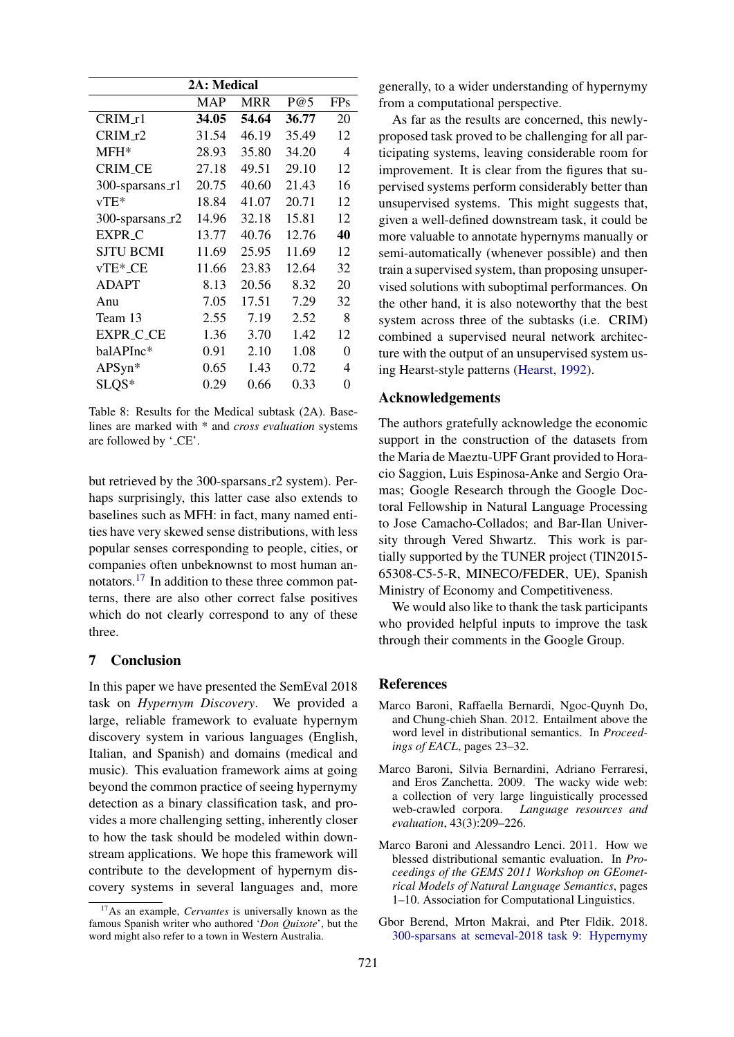| 2A: Medical        |            |            |       |            |  |  |  |  |  |  |  |  |
|--------------------|------------|------------|-------|------------|--|--|--|--|--|--|--|--|
|                    | <b>MAP</b> | <b>MRR</b> | P@5   | <b>FPs</b> |  |  |  |  |  |  |  |  |
| $CRIM_1$           | 34.05      | 54.64      | 36.77 | 20         |  |  |  |  |  |  |  |  |
| CRIM_r2            | 31.54      | 46.19      | 35.49 | 12         |  |  |  |  |  |  |  |  |
| $MFH*$             | 28.93      | 35.80      | 34.20 | 4          |  |  |  |  |  |  |  |  |
| <b>CRIM_CE</b>     | 27.18      | 49.51      | 29.10 | 12         |  |  |  |  |  |  |  |  |
| $300$ -sparsans_r1 | 20.75      | 40.60      | 21.43 | 16         |  |  |  |  |  |  |  |  |
| $vTE*$             | 18.84      | 41.07      | 20.71 | 12         |  |  |  |  |  |  |  |  |
| 300-sparsans_r2    | 14.96      | 32.18      | 15.81 | 12         |  |  |  |  |  |  |  |  |
| <b>EXPR_C</b>      | 13.77      | 40.76      | 12.76 | 40         |  |  |  |  |  |  |  |  |
| <b>SJTU BCMI</b>   | 11.69      | 25.95      | 11.69 | 12         |  |  |  |  |  |  |  |  |
| vTE*_CE            | 11.66      | 23.83      | 12.64 | 32         |  |  |  |  |  |  |  |  |
| <b>ADAPT</b>       | 8.13       | 20.56      | 8.32  | 20         |  |  |  |  |  |  |  |  |
| Anu                | 7.05       | 17.51      | 7.29  | 32         |  |  |  |  |  |  |  |  |
| Team 13            | 2.55       | 7.19       | 2.52  | 8          |  |  |  |  |  |  |  |  |
| <b>EXPR_C_CE</b>   | 1.36       | 3.70       | 1.42  | 12         |  |  |  |  |  |  |  |  |
| balAPInc*          | 0.91       | 2.10       | 1.08  | $\theta$   |  |  |  |  |  |  |  |  |
| APSyn*             | 0.65       | 1.43       | 0.72  | 4          |  |  |  |  |  |  |  |  |
| SLQS*              | 0.29       | 0.66       | 0.33  | 0          |  |  |  |  |  |  |  |  |

Table 8: Results for the Medical subtask (2A). Baselines are marked with \* and *cross evaluation* systems are followed by '\_CE'.

but retrieved by the 300-sparsans\_r2 system). Perhaps surprisingly, this latter case also extends to baselines such as MFH: in fact, many named entities have very skewed sense distributions, with less popular senses corresponding to people, cities, or companies often unbeknownst to most human annotators.<sup>17</sup> In addition to these three common patterns, there are also other correct false positives which do not clearly correspond to any of these three.

# 7 Conclusion

In this paper we have presented the SemEval 2018 task on *Hypernym Discovery*. We provided a large, reliable framework to evaluate hypernym discovery system in various languages (English, Italian, and Spanish) and domains (medical and music). This evaluation framework aims at going beyond the common practice of seeing hypernymy detection as a binary classification task, and provides a more challenging setting, inherently closer to how the task should be modeled within downstream applications. We hope this framework will contribute to the development of hypernym discovery systems in several languages and, more generally, to a wider understanding of hypernymy from a computational perspective.

As far as the results are concerned, this newlyproposed task proved to be challenging for all participating systems, leaving considerable room for improvement. It is clear from the figures that supervised systems perform considerably better than unsupervised systems. This might suggests that, given a well-defined downstream task, it could be more valuable to annotate hypernyms manually or semi-automatically (whenever possible) and then train a supervised system, than proposing unsupervised solutions with suboptimal performances. On the other hand, it is also noteworthy that the best system across three of the subtasks (i.e. CRIM) combined a supervised neural network architecture with the output of an unsupervised system using Hearst-style patterns (Hearst, 1992).

# Acknowledgements

The authors gratefully acknowledge the economic support in the construction of the datasets from the Maria de Maeztu-UPF Grant provided to Horacio Saggion, Luis Espinosa-Anke and Sergio Oramas; Google Research through the Google Doctoral Fellowship in Natural Language Processing to Jose Camacho-Collados; and Bar-Ilan University through Vered Shwartz. This work is partially supported by the TUNER project (TIN2015- 65308-C5-5-R, MINECO/FEDER, UE), Spanish Ministry of Economy and Competitiveness.

We would also like to thank the task participants who provided helpful inputs to improve the task through their comments in the Google Group.

## **References**

- Marco Baroni, Raffaella Bernardi, Ngoc-Quynh Do, and Chung-chieh Shan. 2012. Entailment above the word level in distributional semantics. In *Proceedings of EACL*, pages 23–32.
- Marco Baroni, Silvia Bernardini, Adriano Ferraresi, and Eros Zanchetta. 2009. The wacky wide web: a collection of very large linguistically processed web-crawled corpora. *Language resources and evaluation*, 43(3):209–226.
- Marco Baroni and Alessandro Lenci. 2011. How we blessed distributional semantic evaluation. In *Proceedings of the GEMS 2011 Workshop on GEometrical Models of Natural Language Semantics*, pages 1–10. Association for Computational Linguistics.
- Gbor Berend, Mrton Makrai, and Pter Fldik. 2018. 300-sparsans at semeval-2018 task 9: Hypernymy

<sup>17</sup>As an example, *Cervantes* is universally known as the famous Spanish writer who authored '*Don Quixote*', but the word might also refer to a town in Western Australia.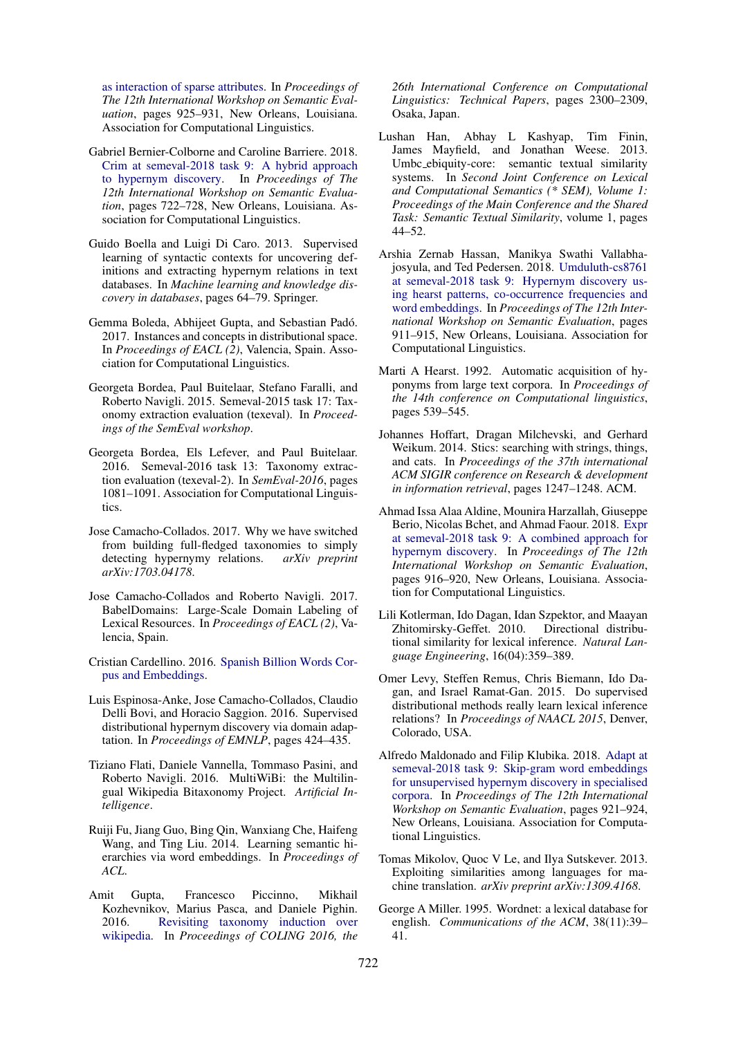as interaction of sparse attributes. In *Proceedings of The 12th International Workshop on Semantic Evaluation*, pages 925–931, New Orleans, Louisiana. Association for Computational Linguistics.

- Gabriel Bernier-Colborne and Caroline Barriere. 2018. Crim at semeval-2018 task 9: A hybrid approach to hypernym discovery. In *Proceedings of The 12th International Workshop on Semantic Evaluation*, pages 722–728, New Orleans, Louisiana. Association for Computational Linguistics.
- Guido Boella and Luigi Di Caro. 2013. Supervised learning of syntactic contexts for uncovering definitions and extracting hypernym relations in text databases. In *Machine learning and knowledge discovery in databases*, pages 64–79. Springer.
- Gemma Boleda, Abhijeet Gupta, and Sebastian Pado. ´ 2017. Instances and concepts in distributional space. In *Proceedings of EACL (2)*, Valencia, Spain. Association for Computational Linguistics.
- Georgeta Bordea, Paul Buitelaar, Stefano Faralli, and Roberto Navigli. 2015. Semeval-2015 task 17: Taxonomy extraction evaluation (texeval). In *Proceedings of the SemEval workshop*.
- Georgeta Bordea, Els Lefever, and Paul Buitelaar. 2016. Semeval-2016 task 13: Taxonomy extraction evaluation (texeval-2). In *SemEval-2016*, pages 1081–1091. Association for Computational Linguistics.
- Jose Camacho-Collados. 2017. Why we have switched from building full-fledged taxonomies to simply detecting hypernymy relations. *arXiv preprint arXiv:1703.04178*.
- Jose Camacho-Collados and Roberto Navigli. 2017. BabelDomains: Large-Scale Domain Labeling of Lexical Resources. In *Proceedings of EACL (2)*, Valencia, Spain.
- Cristian Cardellino. 2016. Spanish Billion Words Corpus and Embeddings.
- Luis Espinosa-Anke, Jose Camacho-Collados, Claudio Delli Bovi, and Horacio Saggion. 2016. Supervised distributional hypernym discovery via domain adaptation. In *Proceedings of EMNLP*, pages 424–435.
- Tiziano Flati, Daniele Vannella, Tommaso Pasini, and Roberto Navigli. 2016. MultiWiBi: the Multilingual Wikipedia Bitaxonomy Project. *Artificial Intelligence*.
- Ruiji Fu, Jiang Guo, Bing Qin, Wanxiang Che, Haifeng Wang, and Ting Liu. 2014. Learning semantic hierarchies via word embeddings. In *Proceedings of ACL*.
- Amit Gupta, Francesco Piccinno, Mikhail Kozhevnikov, Marius Pasca, and Daniele Pighin. 2016. Revisiting taxonomy induction over wikipedia. In *Proceedings of COLING 2016, the*

*26th International Conference on Computational Linguistics: Technical Papers*, pages 2300–2309, Osaka, Japan.

- Lushan Han, Abhay L Kashyap, Tim Finin, James Mayfield, and Jonathan Weese. 2013. Umbc ebiquity-core: semantic textual similarity systems. In *Second Joint Conference on Lexical and Computational Semantics (\* SEM), Volume 1: Proceedings of the Main Conference and the Shared Task: Semantic Textual Similarity*, volume 1, pages 44–52.
- Arshia Zernab Hassan, Manikya Swathi Vallabhajosyula, and Ted Pedersen. 2018. Umduluth-cs8761 at semeval-2018 task 9: Hypernym discovery using hearst patterns, co-occurrence frequencies and word embeddings. In *Proceedings of The 12th International Workshop on Semantic Evaluation*, pages 911–915, New Orleans, Louisiana. Association for Computational Linguistics.
- Marti A Hearst. 1992. Automatic acquisition of hyponyms from large text corpora. In *Proceedings of the 14th conference on Computational linguistics*, pages 539–545.
- Johannes Hoffart, Dragan Milchevski, and Gerhard Weikum. 2014. Stics: searching with strings, things, and cats. In *Proceedings of the 37th international ACM SIGIR conference on Research & development in information retrieval*, pages 1247–1248. ACM.
- Ahmad Issa Alaa Aldine, Mounira Harzallah, Giuseppe Berio, Nicolas Bchet, and Ahmad Faour. 2018. Expr at semeval-2018 task 9: A combined approach for hypernym discovery. In *Proceedings of The 12th International Workshop on Semantic Evaluation*, pages 916–920, New Orleans, Louisiana. Association for Computational Linguistics.
- Lili Kotlerman, Ido Dagan, Idan Szpektor, and Maayan Zhitomirsky-Geffet. 2010. Directional distributional similarity for lexical inference. *Natural Language Engineering*, 16(04):359–389.
- Omer Levy, Steffen Remus, Chris Biemann, Ido Dagan, and Israel Ramat-Gan. 2015. Do supervised distributional methods really learn lexical inference relations? In *Proceedings of NAACL 2015*, Denver, Colorado, USA.
- Alfredo Maldonado and Filip Klubika. 2018. Adapt at semeval-2018 task 9: Skip-gram word embeddings for unsupervised hypernym discovery in specialised corpora. In *Proceedings of The 12th International Workshop on Semantic Evaluation*, pages 921–924, New Orleans, Louisiana. Association for Computational Linguistics.
- Tomas Mikolov, Quoc V Le, and Ilya Sutskever. 2013. Exploiting similarities among languages for machine translation. *arXiv preprint arXiv:1309.4168*.
- George A Miller. 1995. Wordnet: a lexical database for english. *Communications of the ACM*, 38(11):39– 41.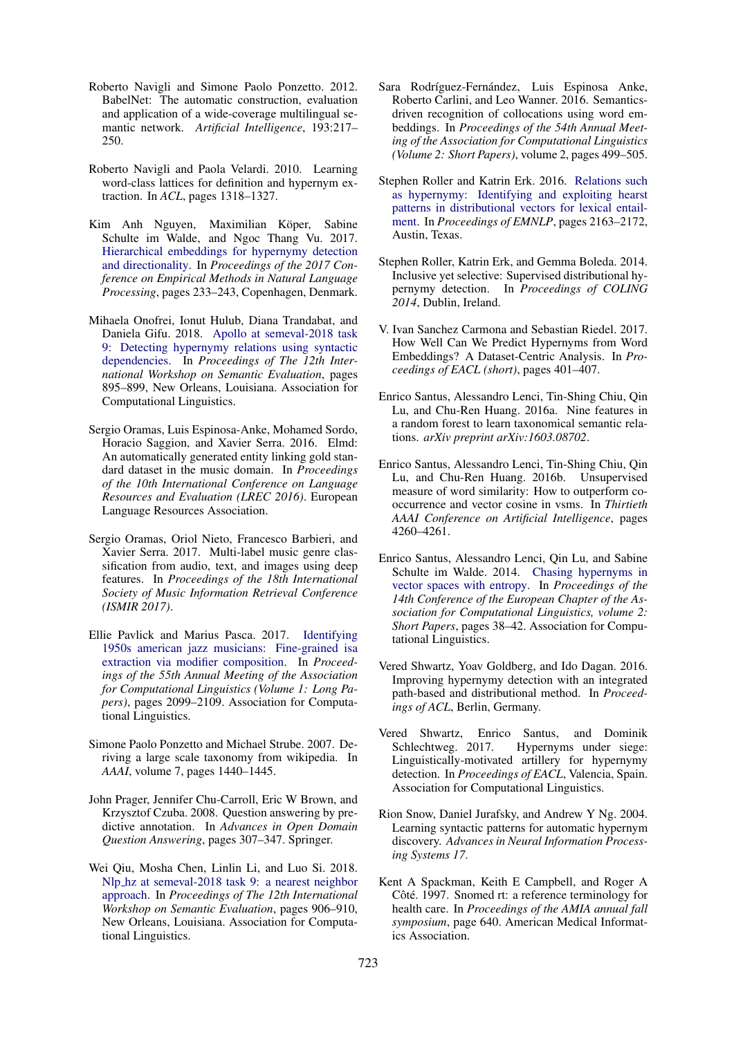- Roberto Navigli and Simone Paolo Ponzetto. 2012. BabelNet: The automatic construction, evaluation and application of a wide-coverage multilingual semantic network. *Artificial Intelligence*, 193:217– 250.
- Roberto Navigli and Paola Velardi. 2010. Learning word-class lattices for definition and hypernym extraction. In *ACL*, pages 1318–1327.
- Kim Anh Nguyen, Maximilian Köper, Sabine Schulte im Walde, and Ngoc Thang Vu. 2017. Hierarchical embeddings for hypernymy detection and directionality. In *Proceedings of the 2017 Conference on Empirical Methods in Natural Language Processing*, pages 233–243, Copenhagen, Denmark.
- Mihaela Onofrei, Ionut Hulub, Diana Trandabat, and Daniela Gifu. 2018. Apollo at semeval-2018 task 9: Detecting hypernymy relations using syntactic dependencies. In *Proceedings of The 12th International Workshop on Semantic Evaluation*, pages 895–899, New Orleans, Louisiana. Association for Computational Linguistics.
- Sergio Oramas, Luis Espinosa-Anke, Mohamed Sordo, Horacio Saggion, and Xavier Serra. 2016. Elmd: An automatically generated entity linking gold standard dataset in the music domain. In *Proceedings of the 10th International Conference on Language Resources and Evaluation (LREC 2016)*. European Language Resources Association.
- Sergio Oramas, Oriol Nieto, Francesco Barbieri, and Xavier Serra. 2017. Multi-label music genre classification from audio, text, and images using deep features. In *Proceedings of the 18th International Society of Music Information Retrieval Conference (ISMIR 2017)*.
- Ellie Pavlick and Marius Pasca. 2017. Identifying 1950s american jazz musicians: Fine-grained isa extraction via modifier composition. In *Proceedings of the 55th Annual Meeting of the Association for Computational Linguistics (Volume 1: Long Papers)*, pages 2099–2109. Association for Computational Linguistics.
- Simone Paolo Ponzetto and Michael Strube. 2007. Deriving a large scale taxonomy from wikipedia. In *AAAI*, volume 7, pages 1440–1445.
- John Prager, Jennifer Chu-Carroll, Eric W Brown, and Krzysztof Czuba. 2008. Question answering by predictive annotation. In *Advances in Open Domain Question Answering*, pages 307–347. Springer.
- Wei Qiu, Mosha Chen, Linlin Li, and Luo Si. 2018. Nlp hz at semeval-2018 task 9: a nearest neighbor approach. In *Proceedings of The 12th International Workshop on Semantic Evaluation*, pages 906–910, New Orleans, Louisiana. Association for Computational Linguistics.
- Sara Rodríguez-Fernández, Luis Espinosa Anke, Roberto Carlini, and Leo Wanner. 2016. Semanticsdriven recognition of collocations using word embeddings. In *Proceedings of the 54th Annual Meeting of the Association for Computational Linguistics (Volume 2: Short Papers)*, volume 2, pages 499–505.
- Stephen Roller and Katrin Erk. 2016. Relations such as hypernymy: Identifying and exploiting hearst patterns in distributional vectors for lexical entailment. In *Proceedings of EMNLP*, pages 2163–2172, Austin, Texas.
- Stephen Roller, Katrin Erk, and Gemma Boleda. 2014. Inclusive yet selective: Supervised distributional hypernymy detection. In *Proceedings of COLING 2014*, Dublin, Ireland.
- V. Ivan Sanchez Carmona and Sebastian Riedel. 2017. How Well Can We Predict Hypernyms from Word Embeddings? A Dataset-Centric Analysis. In *Proceedings of EACL (short)*, pages 401–407.
- Enrico Santus, Alessandro Lenci, Tin-Shing Chiu, Qin Lu, and Chu-Ren Huang. 2016a. Nine features in a random forest to learn taxonomical semantic relations. *arXiv preprint arXiv:1603.08702*.
- Enrico Santus, Alessandro Lenci, Tin-Shing Chiu, Qin Lu, and Chu-Ren Huang. 2016b. Unsupervised measure of word similarity: How to outperform cooccurrence and vector cosine in vsms. In *Thirtieth AAAI Conference on Artificial Intelligence*, pages 4260–4261.
- Enrico Santus, Alessandro Lenci, Qin Lu, and Sabine Schulte im Walde. 2014. Chasing hypernyms in vector spaces with entropy. In *Proceedings of the 14th Conference of the European Chapter of the Association for Computational Linguistics, volume 2: Short Papers*, pages 38–42. Association for Computational Linguistics.
- Vered Shwartz, Yoav Goldberg, and Ido Dagan. 2016. Improving hypernymy detection with an integrated path-based and distributional method. In *Proceedings of ACL*, Berlin, Germany.
- Vered Shwartz, Enrico Santus, and Dominik Schlechtweg. 2017. Hypernyms under siege: Linguistically-motivated artillery for hypernymy detection. In *Proceedings of EACL*, Valencia, Spain. Association for Computational Linguistics.
- Rion Snow, Daniel Jurafsky, and Andrew Y Ng. 2004. Learning syntactic patterns for automatic hypernym discovery. *Advances in Neural Information Processing Systems 17*.
- Kent A Spackman, Keith E Campbell, and Roger A Côté. 1997. Snomed rt: a reference terminology for health care. In *Proceedings of the AMIA annual fall symposium*, page 640. American Medical Informatics Association.